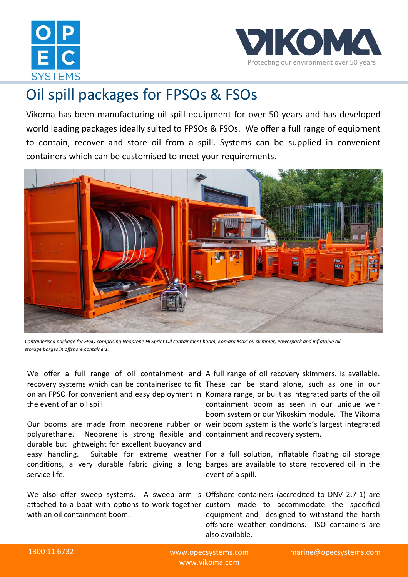



## Oil spill packages for FPSOs & FSOs

Vikoma has been manufacturing oil spill equipment for over 50 years and has developed world leading packages ideally suited to FPSOs & FSOs. We offer a full range of equipment to contain, recover and store oil from a spill. Systems can be supplied in convenient containers which can be customised to meet your requirements.



*Containerised package for FPSO comprising Neoprene Hi Sprint Oil containment boom, Komara Maxi oil skimmer, Powerpack and inflatable oil storage barges in offshore containers.*

recovery systems which can be containerised to fit These can be stand alone, such as one in our on an FPSO for convenient and easy deployment in Komara range, or built as integrated parts of the oil the event of an oil spill.

Our booms are made from neoprene rubber or weir boom system is the world's largest integrated polyurethane. Neoprene is strong flexible and containment and recovery system. durable but lightweight for excellent buoyancy and easy handling. Suitable for extreme weather For a full solution, inflatable floating oil storage conditions, a very durable fabric giving a long barges are available to store recovered oil in the service life.

with an oil containment boom.

We offer a full range of oil containment and A full range of oil recovery skimmers. Is available. containment boom as seen in our unique weir boom system or our Vikoskim module. The Vikoma

event of a spill.

We also offer sweep systems. A sweep arm is Offshore containers (accredited to DNV 2.7-1) are attached to a boat with options to work together custom made to accommodate the specified equipment and designed to withstand the harsh offshore weather conditions. ISO containers are also available.